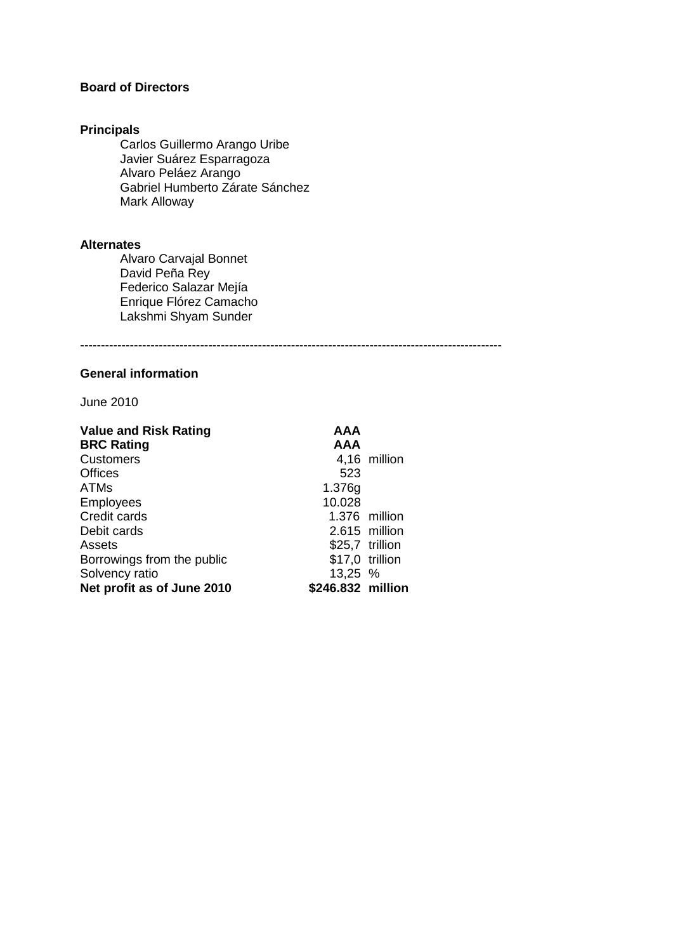### **Board of Directors**

### **Principals**

Carlos Guillermo Arango Uribe Javier Suárez Esparragoza Alvaro Peláez Arango Gabriel Humberto Zárate Sánchez Mark Alloway

### **Alternates**

Alvaro Carvajal Bonnet David Peña Rey Federico Salazar Mejía Enrique Flórez Camacho Lakshmi Shyam Sunder

#### ------------------------------------------------------------------------------------------------------

### **General information**

June 2010

| <b>Value and Risk Rating</b> | <b>AAA</b>        |                 |
|------------------------------|-------------------|-----------------|
| <b>BRC Rating</b>            | <b>AAA</b>        |                 |
| <b>Customers</b>             |                   | 4,16 million    |
| <b>Offices</b>               | 523               |                 |
| ATMs                         | 1.376g            |                 |
| Employees                    | 10.028            |                 |
| Credit cards                 |                   | 1.376 million   |
| Debit cards                  |                   | 2.615 million   |
| Assets                       |                   | \$25,7 trillion |
| Borrowings from the public   |                   | \$17,0 trillion |
| Solvency ratio               | 13,25 %           |                 |
| Net profit as of June 2010   | \$246.832 million |                 |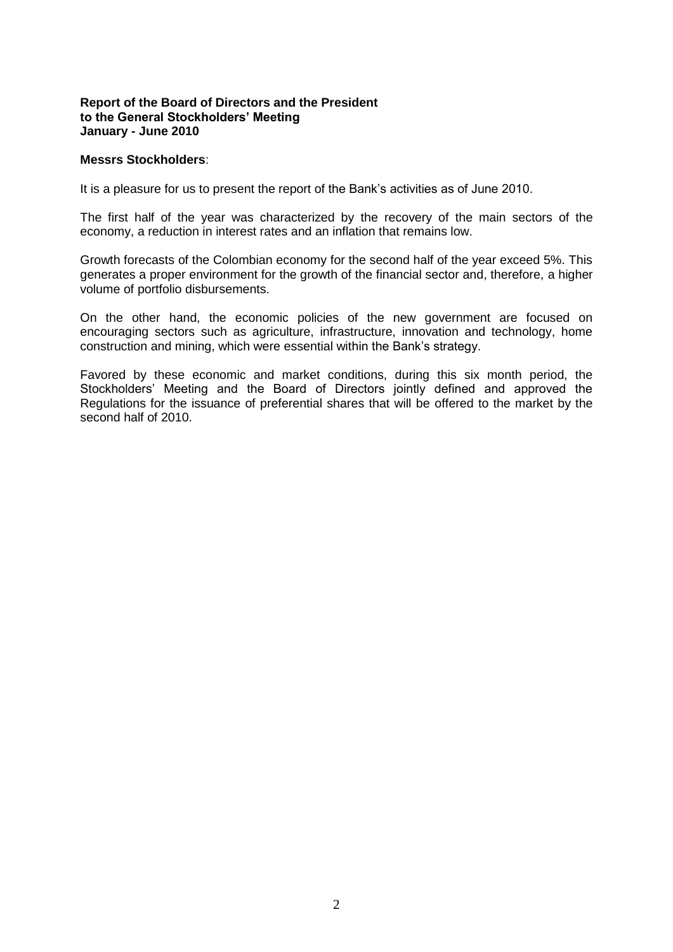#### **Report of the Board of Directors and the President to the General Stockholders' Meeting January - June 2010**

#### **Messrs Stockholders**:

It is a pleasure for us to present the report of the Bank's activities as of June 2010.

The first half of the year was characterized by the recovery of the main sectors of the economy, a reduction in interest rates and an inflation that remains low.

Growth forecasts of the Colombian economy for the second half of the year exceed 5%. This generates a proper environment for the growth of the financial sector and, therefore, a higher volume of portfolio disbursements.

On the other hand, the economic policies of the new government are focused on encouraging sectors such as agriculture, infrastructure, innovation and technology, home construction and mining, which were essential within the Bank's strategy.

Favored by these economic and market conditions, during this six month period, the Stockholders' Meeting and the Board of Directors jointly defined and approved the Regulations for the issuance of preferential shares that will be offered to the market by the second half of 2010.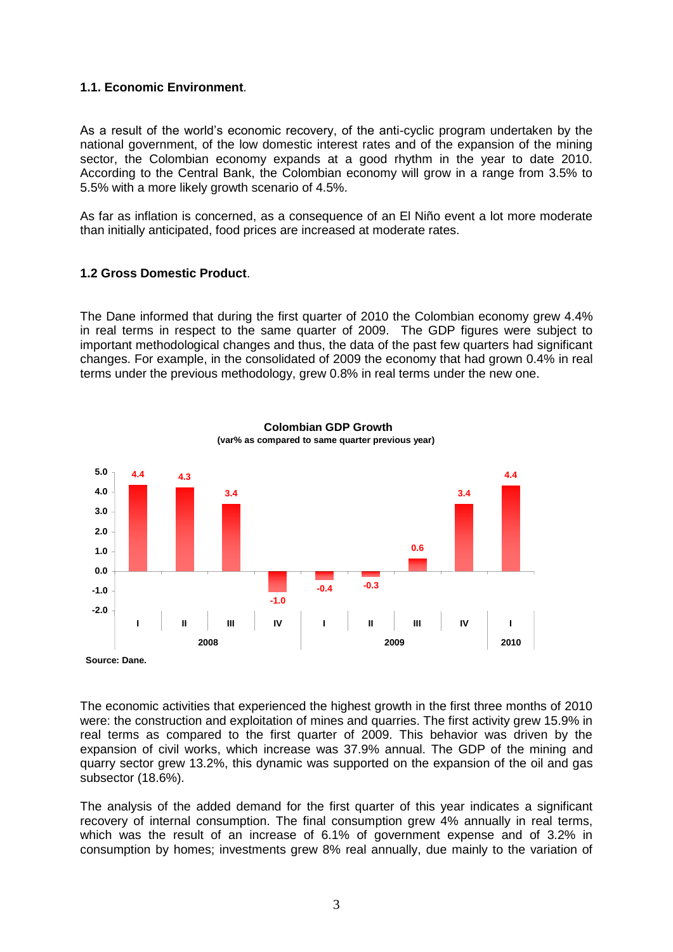### **1.1. Economic Environment**.

As a result of the world's economic recovery, of the anti-cyclic program undertaken by the national government, of the low domestic interest rates and of the expansion of the mining sector, the Colombian economy expands at a good rhythm in the year to date 2010. According to the Central Bank, the Colombian economy will grow in a range from 3.5% to 5.5% with a more likely growth scenario of 4.5%.

As far as inflation is concerned, as a consequence of an El Niño event a lot more moderate than initially anticipated, food prices are increased at moderate rates.

#### **1.2 Gross Domestic Product**.

The Dane informed that during the first quarter of 2010 the Colombian economy grew 4.4% in real terms in respect to the same quarter of 2009. The GDP figures were subject to important methodological changes and thus, the data of the past few quarters had significant changes. For example, in the consolidated of 2009 the economy that had grown 0.4% in real terms under the previous methodology, grew 0.8% in real terms under the new one.





The economic activities that experienced the highest growth in the first three months of 2010 were: the construction and exploitation of mines and quarries. The first activity grew 15.9% in real terms as compared to the first quarter of 2009. This behavior was driven by the expansion of civil works, which increase was 37.9% annual. The GDP of the mining and quarry sector grew 13.2%, this dynamic was supported on the expansion of the oil and gas subsector (18.6%).

The analysis of the added demand for the first quarter of this year indicates a significant recovery of internal consumption. The final consumption grew 4% annually in real terms, which was the result of an increase of 6.1% of government expense and of 3.2% in consumption by homes; investments grew 8% real annually, due mainly to the variation of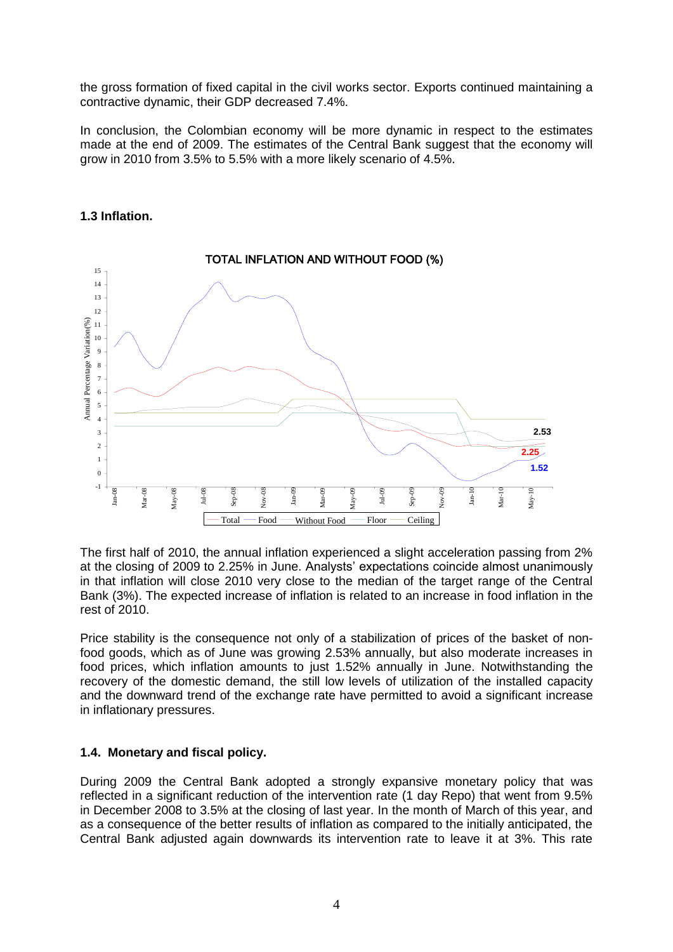the gross formation of fixed capital in the civil works sector. Exports continued maintaining a contractive dynamic, their GDP decreased 7.4%.

In conclusion, the Colombian economy will be more dynamic in respect to the estimates made at the end of 2009. The estimates of the Central Bank suggest that the economy will grow in 2010 from 3.5% to 5.5% with a more likely scenario of 4.5%.



### **1.3 Inflation.**

The first half of 2010, the annual inflation experienced a slight acceleration passing from 2% at the closing of 2009 to 2.25% in June. Analysts' expectations coincide almost unanimously in that inflation will close 2010 very close to the median of the target range of the Central Bank (3%). The expected increase of inflation is related to an increase in food inflation in the rest of 2010.

Price stability is the consequence not only of a stabilization of prices of the basket of nonfood goods, which as of June was growing 2.53% annually, but also moderate increases in food prices, which inflation amounts to just 1.52% annually in June. Notwithstanding the recovery of the domestic demand, the still low levels of utilization of the installed capacity and the downward trend of the exchange rate have permitted to avoid a significant increase in inflationary pressures.

## **1.4. Monetary and fiscal policy.**

During 2009 the Central Bank adopted a strongly expansive monetary policy that was reflected in a significant reduction of the intervention rate (1 day Repo) that went from 9.5% in December 2008 to 3.5% at the closing of last year. In the month of March of this year, and as a consequence of the better results of inflation as compared to the initially anticipated, the Central Bank adjusted again downwards its intervention rate to leave it at 3%. This rate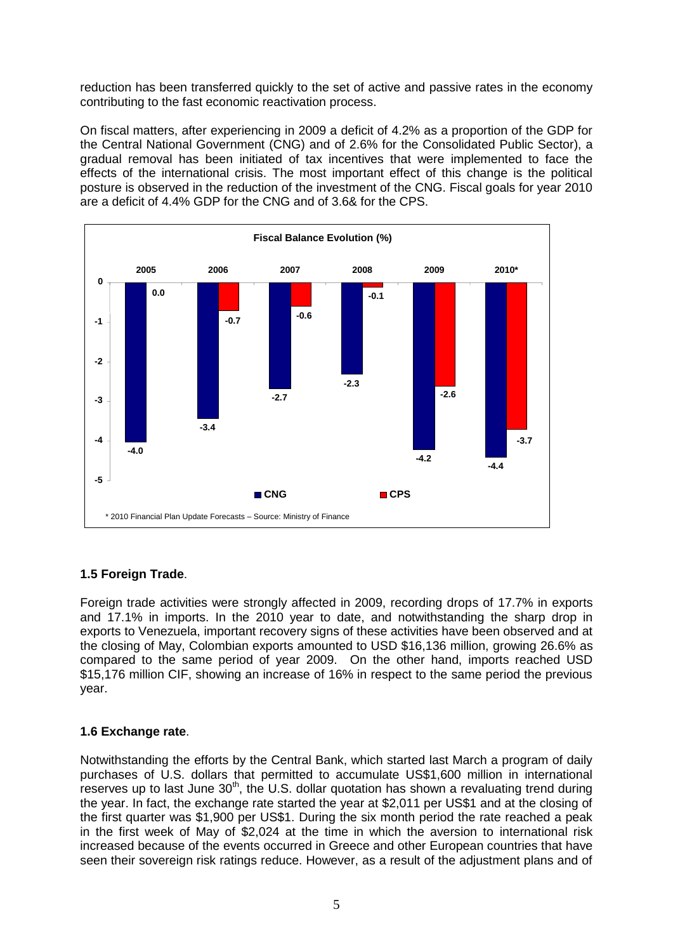reduction has been transferred quickly to the set of active and passive rates in the economy contributing to the fast economic reactivation process.

On fiscal matters, after experiencing in 2009 a deficit of 4.2% as a proportion of the GDP for the Central National Government (CNG) and of 2.6% for the Consolidated Public Sector), a gradual removal has been initiated of tax incentives that were implemented to face the effects of the international crisis. The most important effect of this change is the political posture is observed in the reduction of the investment of the CNG. Fiscal goals for year 2010 are a deficit of 4.4% GDP for the CNG and of 3.6& for the CPS.



## **1.5 Foreign Trade**.

Foreign trade activities were strongly affected in 2009, recording drops of 17.7% in exports and 17.1% in imports. In the 2010 year to date, and notwithstanding the sharp drop in exports to Venezuela, important recovery signs of these activities have been observed and at the closing of May, Colombian exports amounted to USD \$16,136 million, growing 26.6% as compared to the same period of year 2009. On the other hand, imports reached USD \$15,176 million CIF, showing an increase of 16% in respect to the same period the previous year.

### **1.6 Exchange rate**.

Notwithstanding the efforts by the Central Bank, which started last March a program of daily purchases of U.S. dollars that permitted to accumulate US\$1,600 million in international reserves up to last June  $30<sup>th</sup>$ , the U.S. dollar quotation has shown a revaluating trend during the year. In fact, the exchange rate started the year at \$2,011 per US\$1 and at the closing of the first quarter was \$1,900 per US\$1. During the six month period the rate reached a peak in the first week of May of \$2,024 at the time in which the aversion to international risk increased because of the events occurred in Greece and other European countries that have seen their sovereign risk ratings reduce. However, as a result of the adjustment plans and of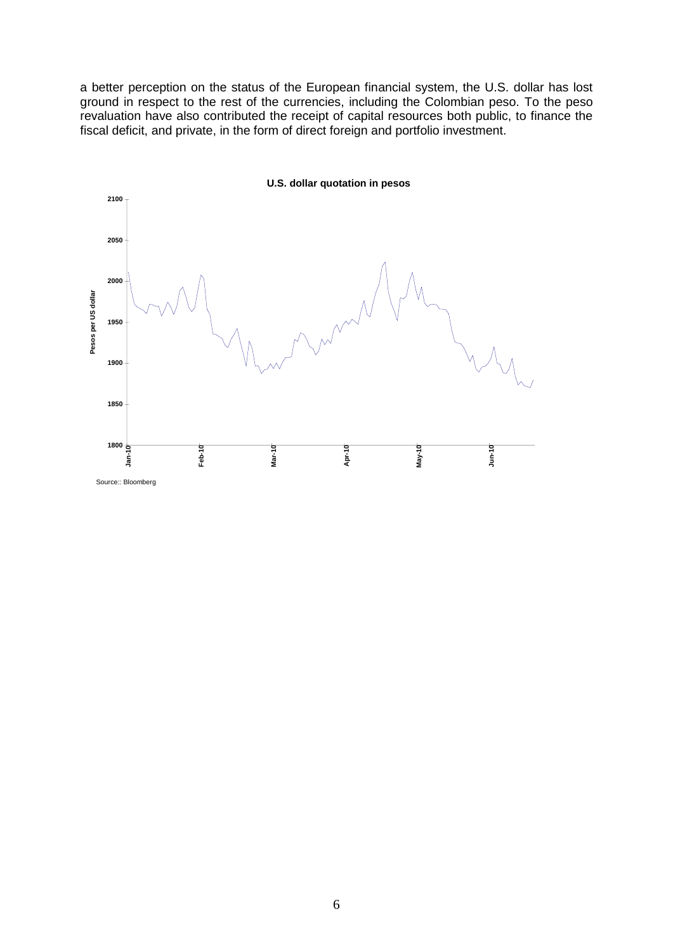a better perception on the status of the European financial system, the U.S. dollar has lost ground in respect to the rest of the currencies, including the Colombian peso. To the peso revaluation have also contributed the receipt of capital resources both public, to finance the fiscal deficit, and private, in the form of direct foreign and portfolio investment.

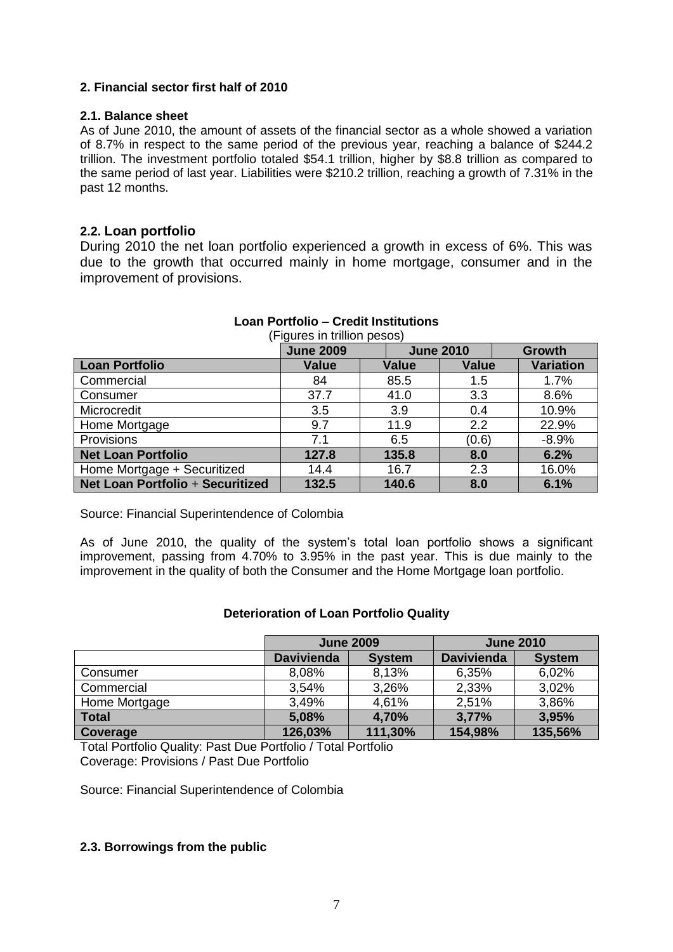### **2. Financial sector first half of 2010**

### **2.1. Balance sheet**

As of June 2010, the amount of assets of the financial sector as a whole showed a variation of 8.7% in respect to the same period of the previous year, reaching a balance of \$244.2 trillion. The investment portfolio totaled \$54.1 trillion, higher by \$8.8 trillion as compared to the same period of last year. Liabilities were \$210.2 trillion, reaching a growth of 7.31% in the past 12 months.

### **2.2. Loan portfolio**

During 2010 the net loan portfolio experienced a growth in excess of 6%. This was due to the growth that occurred mainly in home mortgage, consumer and in the improvement of provisions.

|                                         | i idares in milion hesos)<br><b>June 2010</b><br><b>Growth</b><br><b>June 2009</b> |              |              |                  |  |
|-----------------------------------------|------------------------------------------------------------------------------------|--------------|--------------|------------------|--|
|                                         |                                                                                    |              |              |                  |  |
| <b>Loan Portfolio</b>                   | <b>Value</b>                                                                       | <b>Value</b> | <b>Value</b> | <b>Variation</b> |  |
| Commercial                              | 84                                                                                 | 85.5         | 1.5          | 1.7%             |  |
| Consumer                                | 37.7                                                                               | 41.0         | 3.3          | 8.6%             |  |
| Microcredit                             | 3.5                                                                                | 3.9          | 0.4          | 10.9%            |  |
| Home Mortgage                           | 9.7                                                                                | 11.9         | 2.2          | 22.9%            |  |
| Provisions                              | 7.1                                                                                | 6.5          | (0.6)        | $-8.9%$          |  |
| <b>Net Loan Portfolio</b>               | 127.8                                                                              | 135.8        | 8.0          | 6.2%             |  |
| Home Mortgage + Securitized             | 14.4                                                                               | 16.7         | 2.3          | 16.0%            |  |
| <b>Net Loan Portfolio + Securitized</b> | 132.5                                                                              | 140.6        | 8.0          | 6.1%             |  |

#### **Loan Portfolio – Credit Institutions** (Figures in trillion pesos)

Source: Financial Superintendence of Colombia

As of June 2010, the quality of the system's total loan portfolio shows a significant improvement, passing from 4.70% to 3.95% in the past year. This is due mainly to the improvement in the quality of both the Consumer and the Home Mortgage loan portfolio.

### **Deterioration of Loan Portfolio Quality**

|               | <b>June 2009</b>                   |         | <b>June 2010</b>  |               |  |
|---------------|------------------------------------|---------|-------------------|---------------|--|
|               | <b>Davivienda</b><br><b>System</b> |         | <b>Davivienda</b> | <b>System</b> |  |
| Consumer      | 8,08%                              | 8,13%   | 6,35%             | 6,02%         |  |
| Commercial    | 3,54%                              | 3,26%   | 2,33%             | 3,02%         |  |
| Home Mortgage | 3,49%                              | 4,61%   | 2,51%             | 3,86%         |  |
| <b>Total</b>  | 5,08%<br>4,70%                     |         | 3,77%             | 3,95%         |  |
| Coverage      | 126,03%                            | 111,30% | 154,98%           | 135,56%       |  |

Total Portfolio Quality: Past Due Portfolio / Total Portfolio Coverage: Provisions / Past Due Portfolio

Source: Financial Superintendence of Colombia

### **2.3. Borrowings from the public**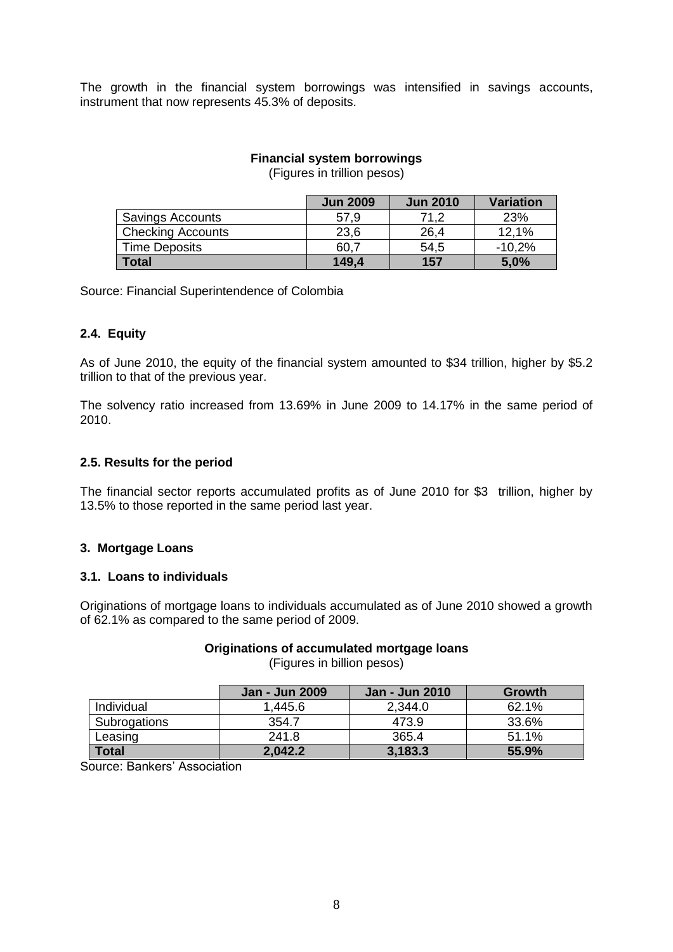The growth in the financial system borrowings was intensified in savings accounts, instrument that now represents 45.3% of deposits.

# **Financial system borrowings**

(Figures in trillion pesos)

|                          | <b>Jun 2009</b> | <b>Jun 2010</b> | <b>Variation</b> |
|--------------------------|-----------------|-----------------|------------------|
| <b>Savings Accounts</b>  | 57,9            | 71,2            | 23%              |
| <b>Checking Accounts</b> | 23,6            | 26,4            | 12,1%            |
| <b>Time Deposits</b>     | 60.7            | 54,5            | $-10,2%$         |
| <b>Total</b>             | 149,4           | 157             | 5,0%             |

Source: Financial Superintendence of Colombia

### **2.4. Equity**

As of June 2010, the equity of the financial system amounted to \$34 trillion, higher by \$5.2 trillion to that of the previous year.

The solvency ratio increased from 13.69% in June 2009 to 14.17% in the same period of 2010.

### **2.5. Results for the period**

The financial sector reports accumulated profits as of June 2010 for \$3 trillion, higher by 13.5% to those reported in the same period last year.

### **3. Mortgage Loans**

### **3.1. Loans to individuals**

Originations of mortgage loans to individuals accumulated as of June 2010 showed a growth of 62.1% as compared to the same period of 2009.

### **Originations of accumulated mortgage loans**

(Figures in billion pesos)

|              | <b>Jan - Jun 2009</b> | <b>Jan - Jun 2010</b> | Growth |
|--------------|-----------------------|-----------------------|--------|
| Individual   | 1.445.6               | 2,344.0               | 62.1%  |
| Subrogations | 354.7                 | 473.9                 | 33.6%  |
| Leasing      | 241.8                 | 365.4                 | 51.1%  |
| <b>Total</b> | 2,042.2               | 3,183.3               | 55.9%  |

Source: Bankers' Association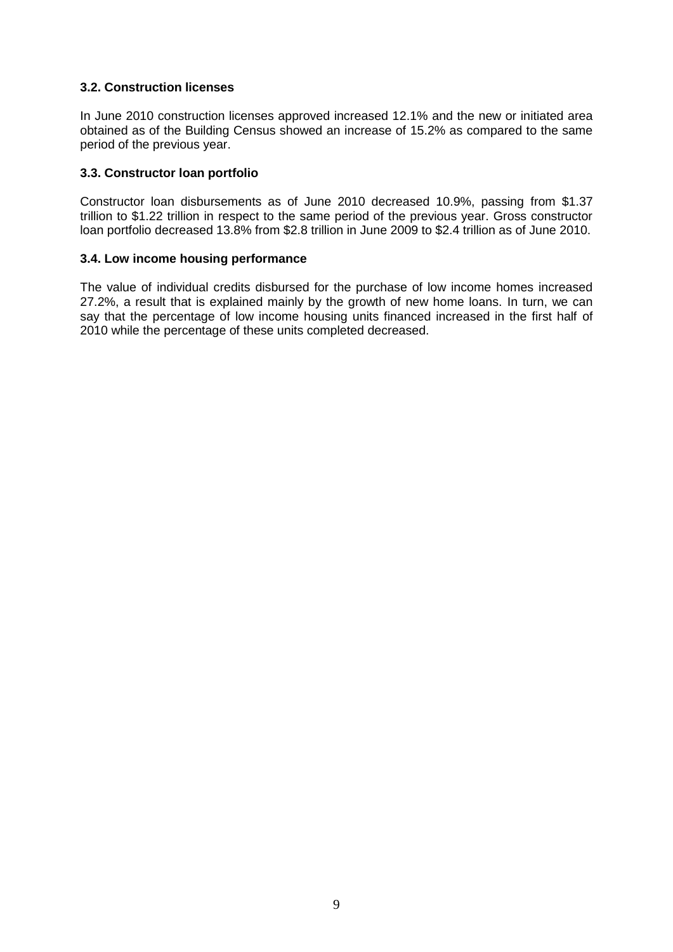### **3.2. Construction licenses**

In June 2010 construction licenses approved increased 12.1% and the new or initiated area obtained as of the Building Census showed an increase of 15.2% as compared to the same period of the previous year.

### **3.3. Constructor loan portfolio**

Constructor loan disbursements as of June 2010 decreased 10.9%, passing from \$1.37 trillion to \$1.22 trillion in respect to the same period of the previous year. Gross constructor loan portfolio decreased 13.8% from \$2.8 trillion in June 2009 to \$2.4 trillion as of June 2010.

### **3.4. Low income housing performance**

The value of individual credits disbursed for the purchase of low income homes increased 27.2%, a result that is explained mainly by the growth of new home loans. In turn, we can say that the percentage of low income housing units financed increased in the first half of 2010 while the percentage of these units completed decreased.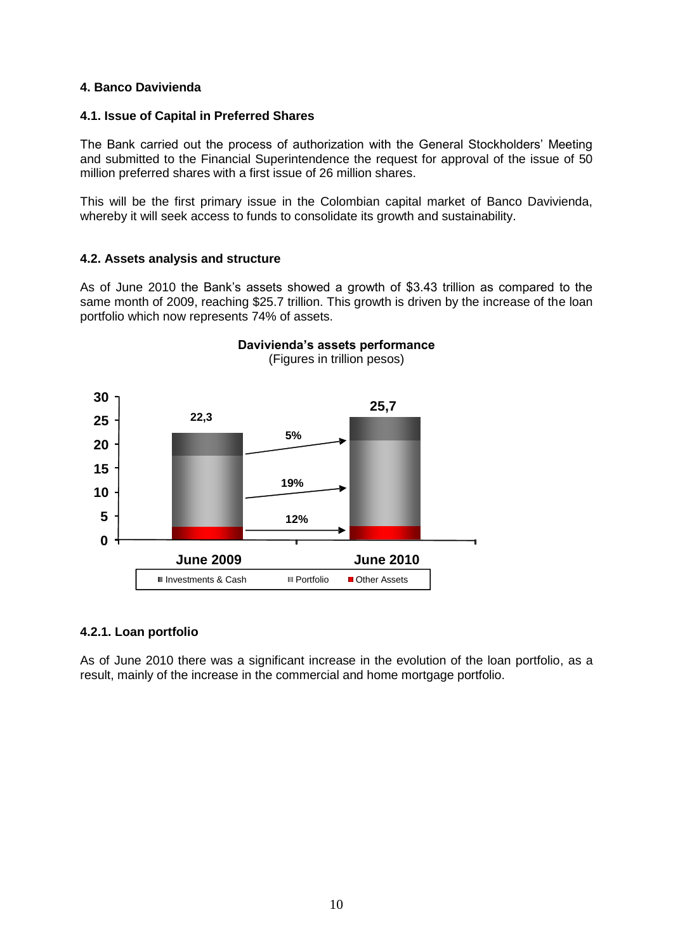### **4. Banco Davivienda**

### **4.1. Issue of Capital in Preferred Shares**

The Bank carried out the process of authorization with the General Stockholders' Meeting and submitted to the Financial Superintendence the request for approval of the issue of 50 million preferred shares with a first issue of 26 million shares.

This will be the first primary issue in the Colombian capital market of Banco Davivienda, whereby it will seek access to funds to consolidate its growth and sustainability.

#### **4.2. Assets analysis and structure**

As of June 2010 the Bank's assets showed a growth of \$3.43 trillion as compared to the same month of 2009, reaching \$25.7 trillion. This growth is driven by the increase of the loan portfolio which now represents 74% of assets.



**Davivienda's assets performance**  (Figures in trillion pesos)

### **4.2.1. Loan portfolio**

As of June 2010 there was a significant increase in the evolution of the loan portfolio, as a result, mainly of the increase in the commercial and home mortgage portfolio.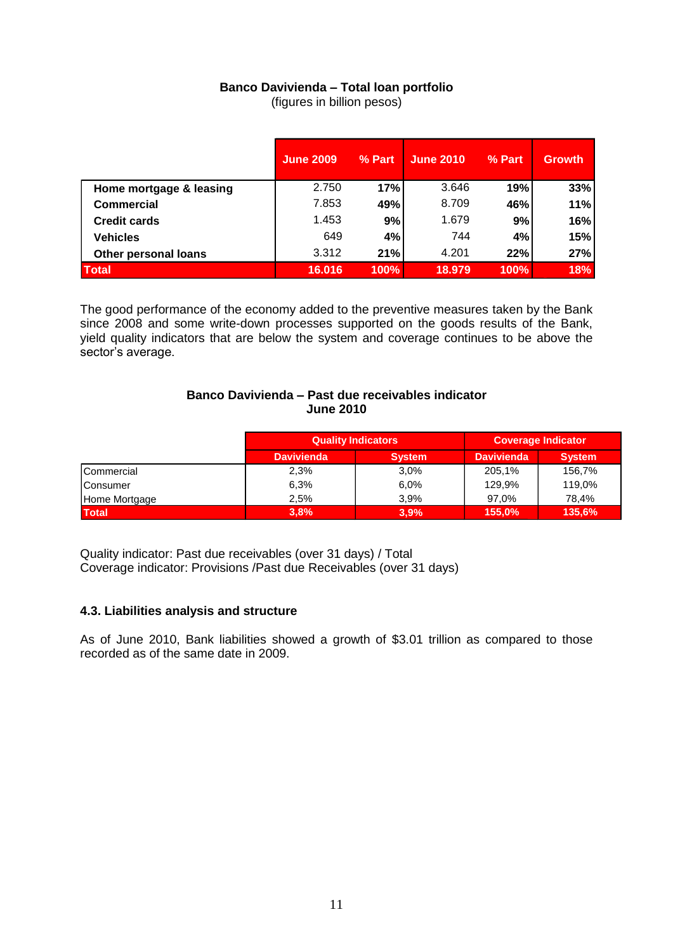# **Banco Davivienda – Total loan portfolio**

(figures in billion pesos)

|                         | <b>June 2009</b> | % Part | <b>June 2010</b> | % Part | <b>Growth</b> |
|-------------------------|------------------|--------|------------------|--------|---------------|
| Home mortgage & leasing | 2.750            | 17%    | 3.646            | 19%    | 33%           |
| Commercial              | 7.853            | 49%    | 8.709            | 46%    | 11%           |
| <b>Credit cards</b>     | 1.453            | 9%     | 1.679            | 9%     | 16%           |
| <b>Vehicles</b>         | 649              | 4%     | 744              | 4%     | 15%           |
| Other personal loans    | 3.312            | 21%    | 4.201            | 22%    | 27%           |
| <b>Total</b>            | 16.016           | 100%   | 18.979           | 100%   | 18%           |

The good performance of the economy added to the preventive measures taken by the Bank since 2008 and some write-down processes supported on the goods results of the Bank, yield quality indicators that are below the system and coverage continues to be above the sector's average.

### **Banco Davivienda – Past due receivables indicator June 2010**

|                   | <b>Quality Indicators</b> |               | <b>Coverage Indicator</b> |               |  |
|-------------------|---------------------------|---------------|---------------------------|---------------|--|
|                   | <b>Davivienda</b>         | <b>System</b> | <b>Davivienda</b>         | <b>System</b> |  |
| <b>Commercial</b> | 2,3%                      | $3.0\%$       | 205,1%                    | 156,7%        |  |
| <b>IConsumer</b>  | 6.3%                      | $6.0\%$       | 129,9%                    | 119,0%        |  |
| Home Mortgage     | 2.5%                      | $3.9\%$       | 97.0%                     | 78.4%         |  |
| <b>Total</b>      | 3,8%                      | 3,9%          | 155,0%                    | 135,6%        |  |

Quality indicator: Past due receivables (over 31 days) / Total Coverage indicator: Provisions /Past due Receivables (over 31 days)

## **4.3. Liabilities analysis and structure**

As of June 2010, Bank liabilities showed a growth of \$3.01 trillion as compared to those recorded as of the same date in 2009.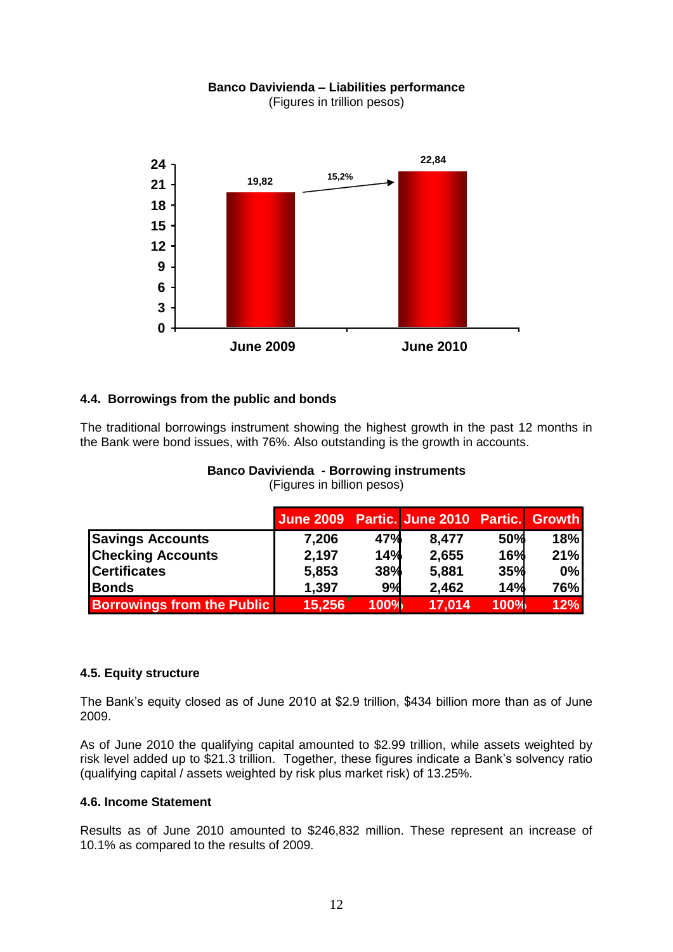

#### **Banco Davivienda – Liabilities performance** (Figures in trillion pesos)

## **4.4. Borrowings from the public and bonds**

The traditional borrowings instrument showing the highest growth in the past 12 months in the Bank were bond issues, with 76%. Also outstanding is the growth in accounts.

|                                   | June 2009 Partic. June 2010 Partic. Growth |      |        |      |     |
|-----------------------------------|--------------------------------------------|------|--------|------|-----|
| <b>Savings Accounts</b>           | 7,206                                      | 47%  | 8.477  | 50%  | 18% |
| <b>Checking Accounts</b>          | 2,197                                      | 14%  | 2,655  | 16%  | 21% |
| <b>Certificates</b>               | 5,853                                      | 38%  | 5,881  | 35%  | 0%  |
| <b>Bonds</b>                      | 1,397                                      | 9%   | 2,462  | 14%  | 76% |
| <b>Borrowings from the Public</b> | <b>15,256</b>                              | 100% | 17.014 | 100% | 12% |

#### **Banco Davivienda - Borrowing instruments** (Figures in billion pesos)

## **4.5. Equity structure**

The Bank's equity closed as of June 2010 at \$2.9 trillion, \$434 billion more than as of June 2009.

As of June 2010 the qualifying capital amounted to \$2.99 trillion, while assets weighted by risk level added up to \$21.3 trillion. Together, these figures indicate a Bank's solvency ratio (qualifying capital / assets weighted by risk plus market risk) of 13.25%.

### **4.6. Income Statement**

Results as of June 2010 amounted to \$246,832 million. These represent an increase of 10.1% as compared to the results of 2009.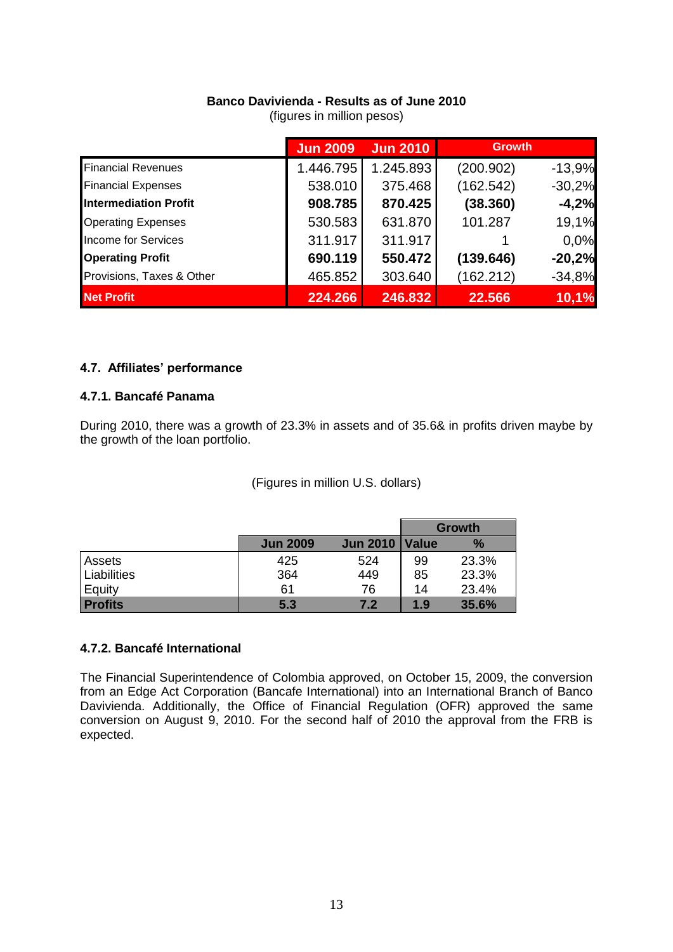## **Banco Davivienda - Results as of June 2010**

|                              | <b>Jun 2009</b> | <b>Jun 2010</b> | <b>Growth</b> |          |
|------------------------------|-----------------|-----------------|---------------|----------|
| <b>Financial Revenues</b>    | 1.446.795       | 1.245.893       | (200.902)     | $-13,9%$ |
| <b>Financial Expenses</b>    | 538.010         | 375.468         | (162.542)     | $-30,2%$ |
| <b>Intermediation Profit</b> | 908.785         | 870.425         | (38.360)      | $-4,2%$  |
| <b>Operating Expenses</b>    | 530.583         | 631.870         | 101.287       | 19,1%    |
| Income for Services          | 311.917         | 311.917         |               | 0,0%     |
| <b>Operating Profit</b>      | 690.119         | 550.472         | (139.646)     | $-20,2%$ |
| Provisions, Taxes & Other    | 465.852         | 303.640         | (162.212)     | $-34,8%$ |
| <b>Net Profit</b>            | 224.266         | 246.832         | 22.566        | 10,1%    |

(figures in million pesos)

## **4.7. Affiliates' performance**

### **4.7.1. Bancafé Panama**

During 2010, there was a growth of 23.3% in assets and of 35.6& in profits driven maybe by the growth of the loan portfolio.

### (Figures in million U.S. dollars)

|                |                 |                 |                             | <b>Growth</b> |
|----------------|-----------------|-----------------|-----------------------------|---------------|
|                | <b>Jun 2009</b> | <b>Jun 2010</b> | <i><u><b>I</b>Value</u></i> | $\frac{9}{6}$ |
| Assets         | 425             | 524             | 99                          | 23.3%         |
| Liabilities    | 364             | 449             | 85                          | 23.3%         |
| Equity         | 61              | 76              | 14                          | 23.4%         |
| <b>Profits</b> | 5.3             | 7.2             | 1.9                         | 35.6%         |

### **4.7.2. Bancafé International**

The Financial Superintendence of Colombia approved, on October 15, 2009, the conversion from an Edge Act Corporation (Bancafe International) into an International Branch of Banco Davivienda. Additionally, the Office of Financial Regulation (OFR) approved the same conversion on August 9, 2010. For the second half of 2010 the approval from the FRB is expected.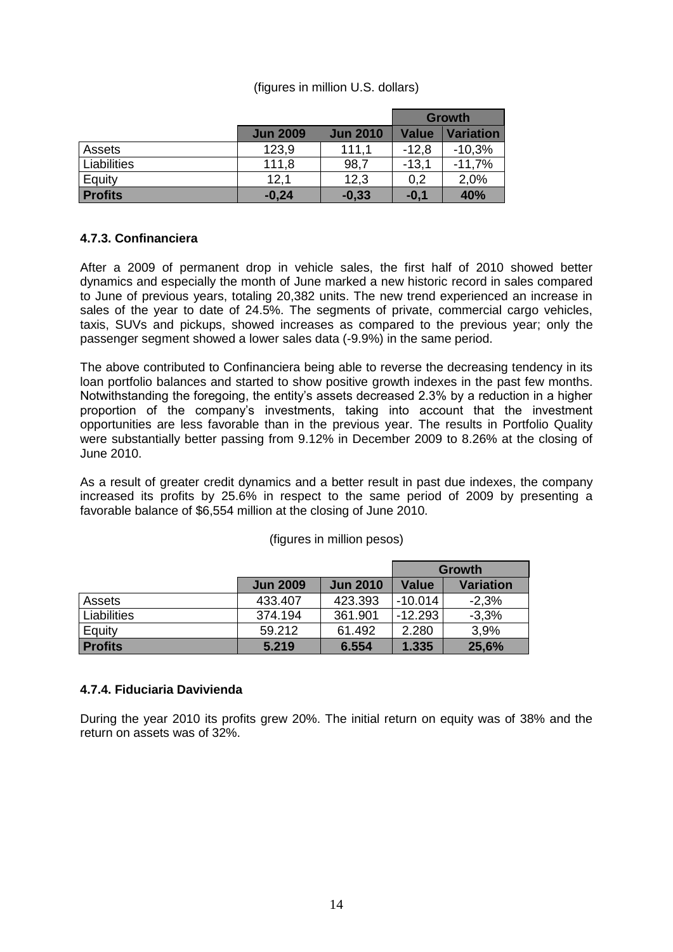|  |  |  |  | (figures in million U.S. dollars) |
|--|--|--|--|-----------------------------------|
|--|--|--|--|-----------------------------------|

|                |                 |                 | Growth       |                  |
|----------------|-----------------|-----------------|--------------|------------------|
|                | <b>Jun 2009</b> | <b>Jun 2010</b> | <b>Value</b> | <b>Variation</b> |
| Assets         | 123,9           | 111.1           | $-12.8$      | $-10,3%$         |
| Liabilities    | 111.8           | 98,7            | $-13.1$      | $-11,7%$         |
| Equity         | 12,1            | 12,3            | 0,2          | 2,0%             |
| <b>Profits</b> | $-0,24$         | $-0,33$         | $-0,1$       | 40%              |

### **4.7.3. Confinanciera**

After a 2009 of permanent drop in vehicle sales, the first half of 2010 showed better dynamics and especially the month of June marked a new historic record in sales compared to June of previous years, totaling 20,382 units. The new trend experienced an increase in sales of the year to date of 24.5%. The segments of private, commercial cargo vehicles, taxis, SUVs and pickups, showed increases as compared to the previous year; only the passenger segment showed a lower sales data (-9.9%) in the same period.

The above contributed to Confinanciera being able to reverse the decreasing tendency in its loan portfolio balances and started to show positive growth indexes in the past few months. Notwithstanding the foregoing, the entity's assets decreased 2.3% by a reduction in a higher proportion of the company's investments, taking into account that the investment opportunities are less favorable than in the previous year. The results in Portfolio Quality were substantially better passing from 9.12% in December 2009 to 8.26% at the closing of June 2010.

As a result of greater credit dynamics and a better result in past due indexes, the company increased its profits by 25.6% in respect to the same period of 2009 by presenting a favorable balance of \$6,554 million at the closing of June 2010.

|                |                 |                 | <b>Growth</b> |                  |
|----------------|-----------------|-----------------|---------------|------------------|
|                | <b>Jun 2009</b> | <b>Jun 2010</b> | <b>Value</b>  | <b>Variation</b> |
| Assets         | 433,407         | 423.393         | $-10.014$     | $-2.3%$          |
| Liabilities    | 374.194         | 361.901         | $-12.293$     | $-3.3%$          |
| Equity         | 59.212          | 61.492          | 2.280         | 3.9%             |
| <b>Profits</b> | 5.219           | 6.554           | 1.335         | 25,6%            |

(figures in million pesos)

### **4.7.4. Fiduciaria Davivienda**

During the year 2010 its profits grew 20%. The initial return on equity was of 38% and the return on assets was of 32%.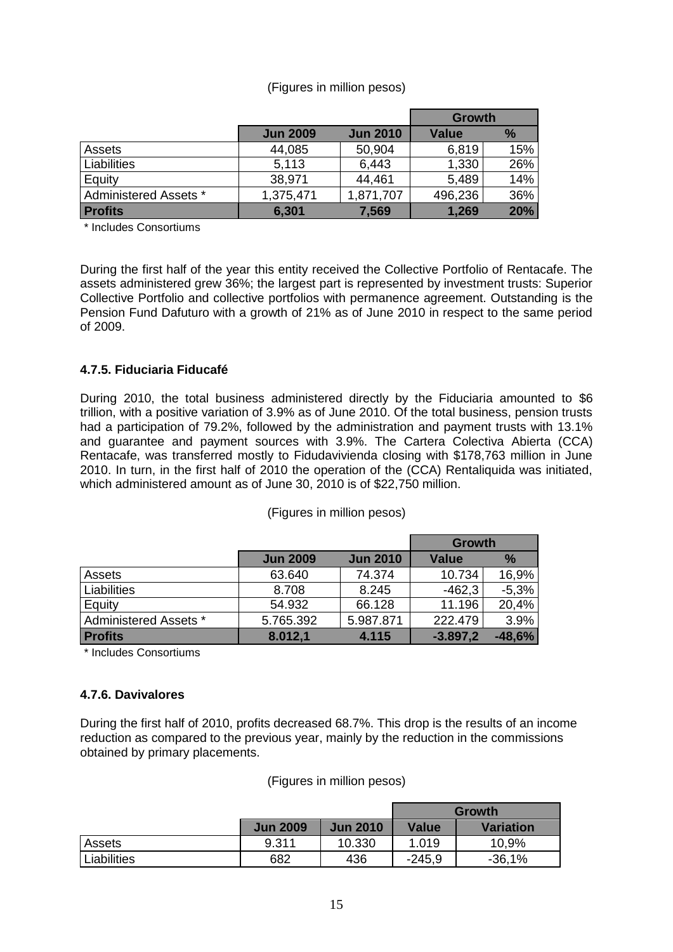### (Figures in million pesos)

|                       |                 |                 | <b>Growth</b> |               |
|-----------------------|-----------------|-----------------|---------------|---------------|
|                       | <b>Jun 2009</b> | <b>Jun 2010</b> | <b>Value</b>  | $\frac{0}{0}$ |
| <b>Assets</b>         | 44,085          | 50,904          | 6,819         | 15%           |
| Liabilities           | 5,113           | 6,443           | 1,330         | 26%           |
| Equity                | 38,971          | 44,461          | 5,489         | 14%           |
| Administered Assets * | 1,375,471       | 1,871,707       | 496,236       | 36%           |
| <b>Profits</b>        | 6,301           | 7,569           | 1,269         | 20%           |

\* Includes Consortiums

During the first half of the year this entity received the Collective Portfolio of Rentacafe. The assets administered grew 36%; the largest part is represented by investment trusts: Superior Collective Portfolio and collective portfolios with permanence agreement. Outstanding is the Pension Fund Dafuturo with a growth of 21% as of June 2010 in respect to the same period of 2009.

### **4.7.5. Fiduciaria Fiducafé**

During 2010, the total business administered directly by the Fiduciaria amounted to \$6 trillion, with a positive variation of 3.9% as of June 2010. Of the total business, pension trusts had a participation of 79.2%, followed by the administration and payment trusts with 13.1% and guarantee and payment sources with 3.9%. The Cartera Colectiva Abierta (CCA) Rentacafe, was transferred mostly to Fidudavivienda closing with \$178,763 million in June 2010. In turn, in the first half of 2010 the operation of the (CCA) Rentaliquida was initiated, which administered amount as of June 30, 2010 is of \$22,750 million.

(Figures in million pesos)

|                       |                 |                 | <b>Growth</b> |               |
|-----------------------|-----------------|-----------------|---------------|---------------|
|                       | <b>Jun 2009</b> | <b>Jun 2010</b> | <b>Value</b>  | $\frac{0}{0}$ |
| Assets                | 63.640          | 74.374          | 10.734        | 16,9%         |
| Liabilities           | 8.708           | 8.245           | $-462,3$      | $-5,3%$       |
| Equity                | 54.932          | 66.128          | 11.196        | 20,4%         |
| Administered Assets * | 5.765.392       | 5.987.871       | 222.479       | 3.9%          |
| <b>Profits</b>        | 8.012,1         | 4.115           | $-3.897,2$    | $-48.6%$      |

\* Includes Consortiums

#### **4.7.6. Davivalores**

During the first half of 2010, profits decreased 68.7%. This drop is the results of an income reduction as compared to the previous year, mainly by the reduction in the commissions obtained by primary placements.

(Figures in million pesos)

|               |                 |                 | Growth       |                  |
|---------------|-----------------|-----------------|--------------|------------------|
|               | <b>Jun 2009</b> | <b>Jun 2010</b> | <b>Value</b> | <b>Variation</b> |
| <b>Assets</b> | 9.311           | 10.330          | 1.019        | 10,9%            |
| Liabilities   | 682             | 436             | $-245.9$     | $-36.1%$         |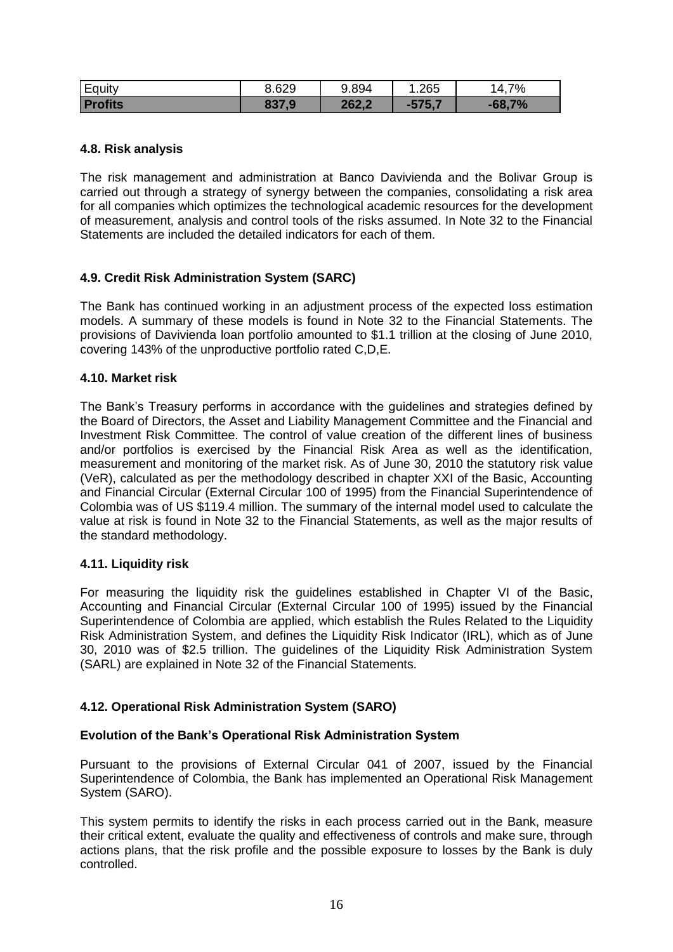| Equity         | 8.629 | 9.894 | .265   | 7%<br>14.7 |
|----------------|-------|-------|--------|------------|
| <b>Profits</b> | 837,9 | 262,2 | 7373.L | 7%<br>-00. |

### **4.8. Risk analysis**

The risk management and administration at Banco Davivienda and the Bolivar Group is carried out through a strategy of synergy between the companies, consolidating a risk area for all companies which optimizes the technological academic resources for the development of measurement, analysis and control tools of the risks assumed. In Note 32 to the Financial Statements are included the detailed indicators for each of them.

## **4.9. Credit Risk Administration System (SARC)**

The Bank has continued working in an adjustment process of the expected loss estimation models. A summary of these models is found in Note 32 to the Financial Statements. The provisions of Davivienda loan portfolio amounted to \$1.1 trillion at the closing of June 2010, covering 143% of the unproductive portfolio rated C,D,E.

### **4.10. Market risk**

The Bank's Treasury performs in accordance with the guidelines and strategies defined by the Board of Directors, the Asset and Liability Management Committee and the Financial and Investment Risk Committee. The control of value creation of the different lines of business and/or portfolios is exercised by the Financial Risk Area as well as the identification, measurement and monitoring of the market risk. As of June 30, 2010 the statutory risk value (VeR), calculated as per the methodology described in chapter XXI of the Basic, Accounting and Financial Circular (External Circular 100 of 1995) from the Financial Superintendence of Colombia was of US \$119.4 million. The summary of the internal model used to calculate the value at risk is found in Note 32 to the Financial Statements, as well as the major results of the standard methodology.

### **4.11. Liquidity risk**

For measuring the liquidity risk the guidelines established in Chapter VI of the Basic, Accounting and Financial Circular (External Circular 100 of 1995) issued by the Financial Superintendence of Colombia are applied, which establish the Rules Related to the Liquidity Risk Administration System, and defines the Liquidity Risk Indicator (IRL), which as of June 30, 2010 was of \$2.5 trillion. The guidelines of the Liquidity Risk Administration System (SARL) are explained in Note 32 of the Financial Statements.

## **4.12. Operational Risk Administration System (SARO)**

### **Evolution of the Bank's Operational Risk Administration System**

Pursuant to the provisions of External Circular 041 of 2007, issued by the Financial Superintendence of Colombia, the Bank has implemented an Operational Risk Management System (SARO).

This system permits to identify the risks in each process carried out in the Bank, measure their critical extent, evaluate the quality and effectiveness of controls and make sure, through actions plans, that the risk profile and the possible exposure to losses by the Bank is duly controlled.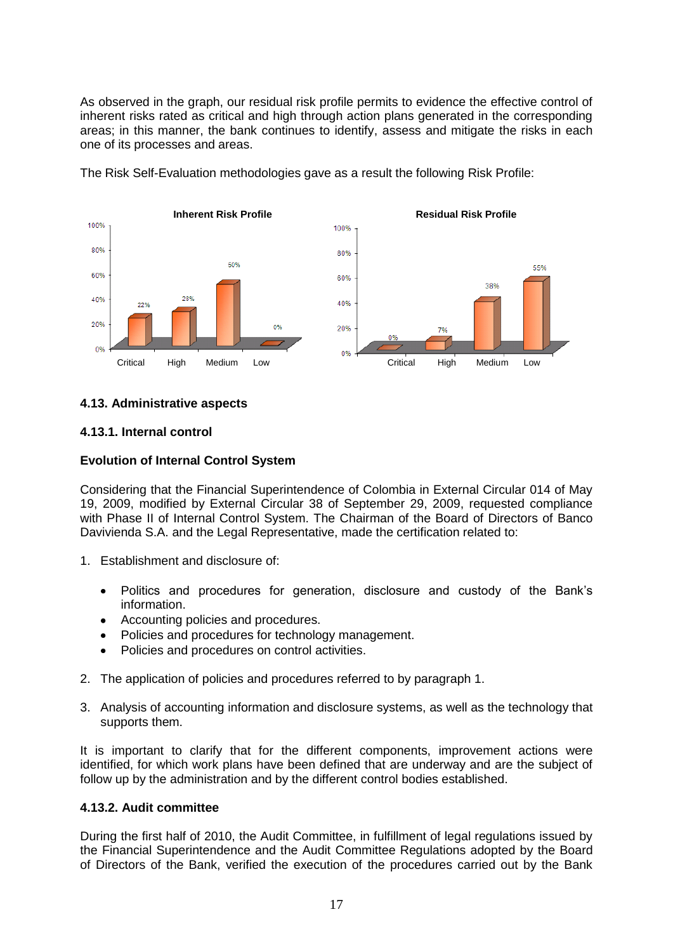As observed in the graph, our residual risk profile permits to evidence the effective control of inherent risks rated as critical and high through action plans generated in the corresponding areas; in this manner, the bank continues to identify, assess and mitigate the risks in each one of its processes and areas.



The Risk Self-Evaluation methodologies gave as a result the following Risk Profile:

### **4.13. Administrative aspects**

### **4.13.1. Internal control**

### **Evolution of Internal Control System**

Considering that the Financial Superintendence of Colombia in External Circular 014 of May 19, 2009, modified by External Circular 38 of September 29, 2009, requested compliance with Phase II of Internal Control System. The Chairman of the Board of Directors of Banco Davivienda S.A. and the Legal Representative, made the certification related to:

- 1. Establishment and disclosure of:
	- Politics and procedures for generation, disclosure and custody of the Bank's information.
	- Accounting policies and procedures.  $\bullet$
	- Policies and procedures for technology management.
	- Policies and procedures on control activities.
- 2. The application of policies and procedures referred to by paragraph 1.
- 3. Analysis of accounting information and disclosure systems, as well as the technology that supports them.

It is important to clarify that for the different components, improvement actions were identified, for which work plans have been defined that are underway and are the subject of follow up by the administration and by the different control bodies established.

### **4.13.2. Audit committee**

During the first half of 2010, the Audit Committee, in fulfillment of legal regulations issued by the Financial Superintendence and the Audit Committee Regulations adopted by the Board of Directors of the Bank, verified the execution of the procedures carried out by the Bank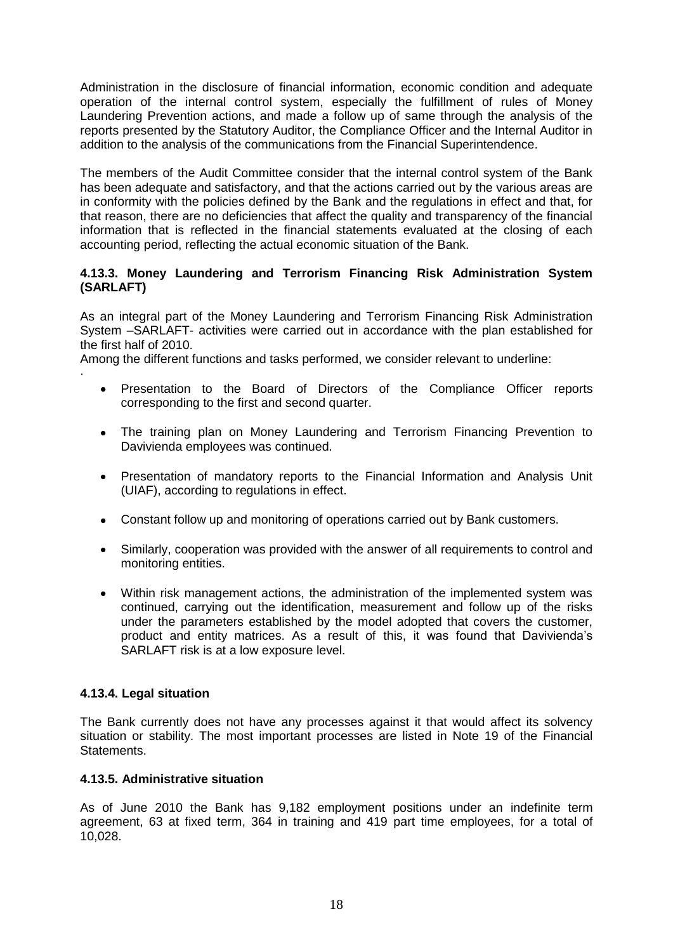Administration in the disclosure of financial information, economic condition and adequate operation of the internal control system, especially the fulfillment of rules of Money Laundering Prevention actions, and made a follow up of same through the analysis of the reports presented by the Statutory Auditor, the Compliance Officer and the Internal Auditor in addition to the analysis of the communications from the Financial Superintendence.

The members of the Audit Committee consider that the internal control system of the Bank has been adequate and satisfactory, and that the actions carried out by the various areas are in conformity with the policies defined by the Bank and the regulations in effect and that, for that reason, there are no deficiencies that affect the quality and transparency of the financial information that is reflected in the financial statements evaluated at the closing of each accounting period, reflecting the actual economic situation of the Bank.

### **4.13.3. Money Laundering and Terrorism Financing Risk Administration System (SARLAFT)**

As an integral part of the Money Laundering and Terrorism Financing Risk Administration System –SARLAFT- activities were carried out in accordance with the plan established for the first half of 2010.

Among the different functions and tasks performed, we consider relevant to underline:

- Presentation to the Board of Directors of the Compliance Officer reports corresponding to the first and second quarter.
- The training plan on Money Laundering and Terrorism Financing Prevention to Davivienda employees was continued.
- Presentation of mandatory reports to the Financial Information and Analysis Unit (UIAF), according to regulations in effect.
- Constant follow up and monitoring of operations carried out by Bank customers.
- Similarly, cooperation was provided with the answer of all requirements to control and monitoring entities.
- Within risk management actions, the administration of the implemented system was continued, carrying out the identification, measurement and follow up of the risks under the parameters established by the model adopted that covers the customer, product and entity matrices. As a result of this, it was found that Davivienda's SARLAFT risk is at a low exposure level.

## **4.13.4. Legal situation**

·

The Bank currently does not have any processes against it that would affect its solvency situation or stability. The most important processes are listed in Note 19 of the Financial Statements.

### **4.13.5. Administrative situation**

As of June 2010 the Bank has 9,182 employment positions under an indefinite term agreement, 63 at fixed term, 364 in training and 419 part time employees, for a total of 10,028.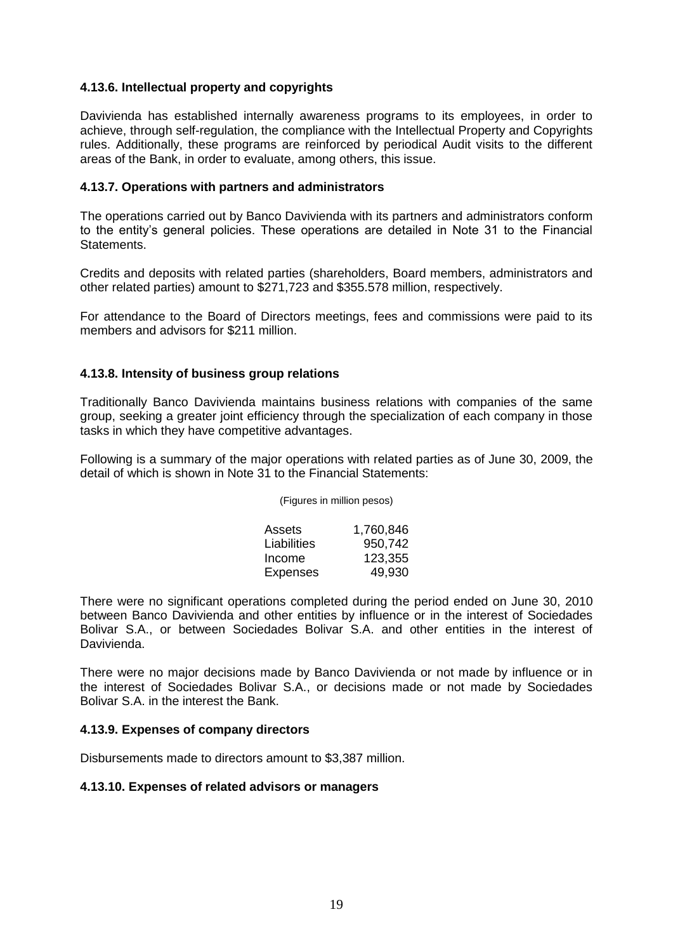### **4.13.6. Intellectual property and copyrights**

Davivienda has established internally awareness programs to its employees, in order to achieve, through self-regulation, the compliance with the Intellectual Property and Copyrights rules. Additionally, these programs are reinforced by periodical Audit visits to the different areas of the Bank, in order to evaluate, among others, this issue.

### **4.13.7. Operations with partners and administrators**

The operations carried out by Banco Davivienda with its partners and administrators conform to the entity's general policies. These operations are detailed in Note 31 to the Financial Statements.

Credits and deposits with related parties (shareholders, Board members, administrators and other related parties) amount to \$271,723 and \$355.578 million, respectively.

For attendance to the Board of Directors meetings, fees and commissions were paid to its members and advisors for \$211 million.

### **4.13.8. Intensity of business group relations**

Traditionally Banco Davivienda maintains business relations with companies of the same group, seeking a greater joint efficiency through the specialization of each company in those tasks in which they have competitive advantages.

Following is a summary of the major operations with related parties as of June 30, 2009, the detail of which is shown in Note 31 to the Financial Statements:

(Figures in million pesos)

| Assets          | 1,760,846 |
|-----------------|-----------|
| Liabilities     | 950,742   |
| Income          | 123,355   |
| <b>Expenses</b> | 49,930    |

There were no significant operations completed during the period ended on June 30, 2010 between Banco Davivienda and other entities by influence or in the interest of Sociedades Bolivar S.A., or between Sociedades Bolivar S.A. and other entities in the interest of Davivienda.

There were no major decisions made by Banco Davivienda or not made by influence or in the interest of Sociedades Bolivar S.A., or decisions made or not made by Sociedades Bolivar S.A. in the interest the Bank.

#### **4.13.9. Expenses of company directors**

Disbursements made to directors amount to \$3,387 million.

#### **4.13.10. Expenses of related advisors or managers**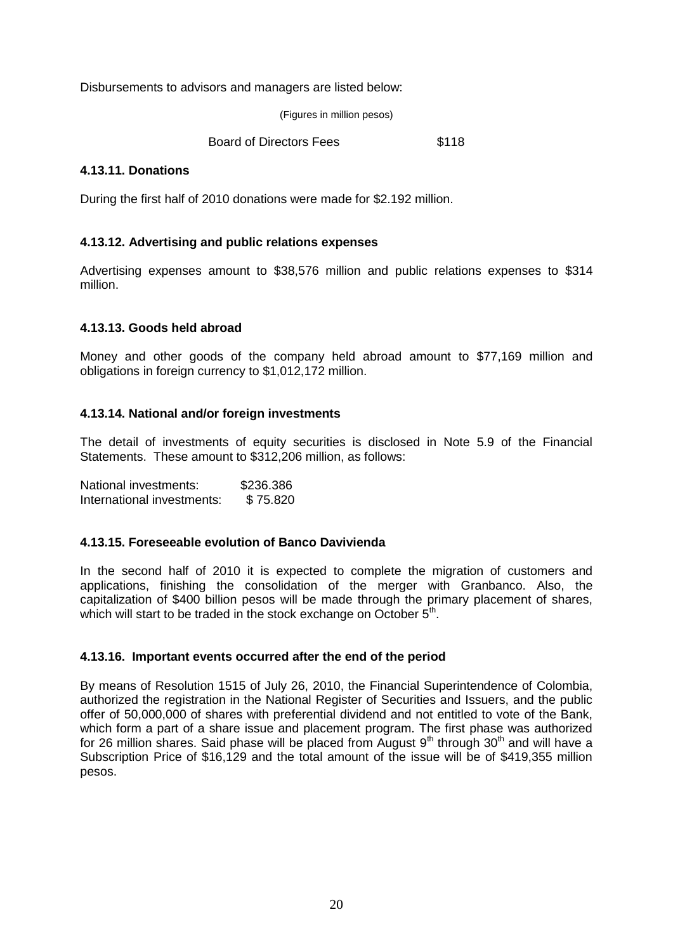Disbursements to advisors and managers are listed below:

(Figures in million pesos)

Board of Directors Fees \$118

### **4.13.11. Donations**

During the first half of 2010 donations were made for \$2.192 million.

### **4.13.12. Advertising and public relations expenses**

Advertising expenses amount to \$38,576 million and public relations expenses to \$314 million.

#### **4.13.13. Goods held abroad**

Money and other goods of the company held abroad amount to \$77,169 million and obligations in foreign currency to \$1,012,172 million.

#### **4.13.14. National and/or foreign investments**

The detail of investments of equity securities is disclosed in Note 5.9 of the Financial Statements. These amount to \$312,206 million, as follows:

National investments: \$236,386 International investments: \$ 75.820

#### **4.13.15. Foreseeable evolution of Banco Davivienda**

In the second half of 2010 it is expected to complete the migration of customers and applications, finishing the consolidation of the merger with Granbanco. Also, the capitalization of \$400 billion pesos will be made through the primary placement of shares, which will start to be traded in the stock exchange on October  $5<sup>th</sup>$ .

#### **4.13.16. Important events occurred after the end of the period**

By means of Resolution 1515 of July 26, 2010, the Financial Superintendence of Colombia, authorized the registration in the National Register of Securities and Issuers, and the public offer of 50,000,000 of shares with preferential dividend and not entitled to vote of the Bank, which form a part of a share issue and placement program. The first phase was authorized for 26 million shares. Said phase will be placed from August  $9<sup>th</sup>$  through 30<sup>th</sup> and will have a Subscription Price of \$16,129 and the total amount of the issue will be of \$419,355 million pesos.